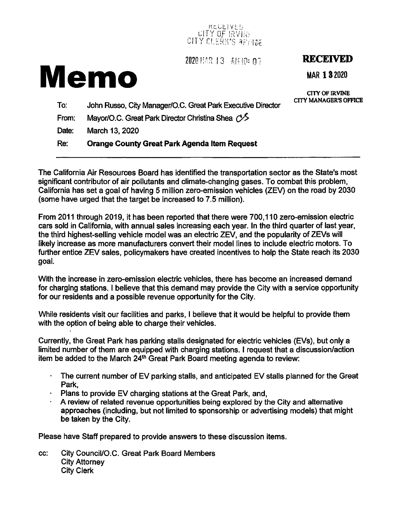## KCULIVED UTY OF IRVINE<br>CITY CLERK'S APPENTS

2020 MAR 13 AM 10: 07

## **RECEIVED**

MAR **13·2020** 

**CITY OF IRVINE** CITY MANAGER'S OFFICE

To: John Russo, City Manager/O.C. Great Park Executive Director From: Mayor/O.C. Great Park Director Christina Shea  $\sim$ Date: March 13, 2020

Re: **Orange County Great Park Agenda Item Request** 

The California Air Resources Board has identified the transportation sector as the State's most significant contributor of air pollutants and climate-changing gases. To combat this problem, California has set a goal of having 5 million zero-emission vehicles (ZEV) on the road by 2030 (some have urged that the target be increased to 7.5 million).

From 2011 through 2019, it has been reported that there were 700,110 zero-emission electric cars sold in California, with annual sales increasing each year. In the third quarter of last year, the third highest-selling vehicle model was an electric ZEV, and the popularity of ZEVs will likely increase as more manufacturers convert their model lines to include electric motors. To further entice ZEV sales, policymakers have created incentives to help the State reach its 2030 goal.

With the increase in zero-emission electric vehicles, there has become an increased demand for charging stations. I believe that this demand may provide the City with a service opportunity for our residents and a possible revenue opportunity for the City.

While residents visit our facilities and parks, I believe that it would be helpful to provide them with the option of being able to charge their vehicles.

Currently, the Great Park has parking stalls designated for electric vehicles (EVs), but only a limited number of them are equipped with charging stations. I request that a discussion/action item be added to the March  $24<sup>th</sup>$  Great Park Board meeting agenda to review:

- $\bullet$ The current number of EV parking stalls, and anticipated EV stalls planned for the Great Park,
- · Plans to provide EV charging stations at the Great Park, and,
- A review of related revenue opportunities being explored by the City and alternative approaches (including, but not limited to sponsorship or advertising models) that might be taken by the City.

Please have Staff prepared to provide answers to these discussion items.

cc: City Council/O.C. Great Park Board Members City Attorney City Clerk

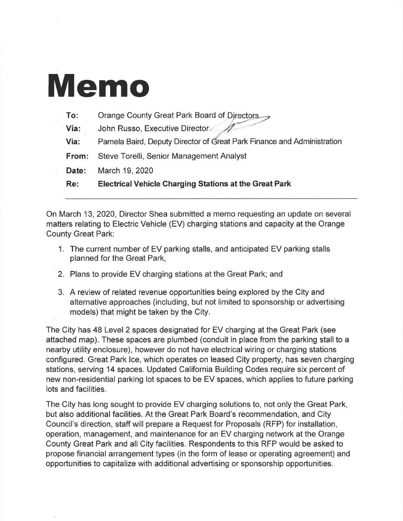## **Memo**

| Re:   | <b>Electrical Vehicle Charging Stations at the Great Park</b>          |
|-------|------------------------------------------------------------------------|
| Date: | March 19, 2020                                                         |
| From: | Steve Torelli, Senior Management Analyst                               |
| Via:  | Pamela Baird, Deputy Director of Great Park Finance and Administration |
| Via:  | John Russo, Executive Director                                         |
| To:   | Orange County Great Park Board of Directors                            |

On March 13, 2020, Director Shea submitted a memo requesting an update on several matters relating to Electric Vehicle (EV) charging stations and capacity at the Orange County Great Park:

- 1. The current number of EV parking stalls, and anticipated EV parking stalls planned for the Great Park,
- 2. Plans to provide EV charging stations at the Great Park; and
- 3. A review of related revenue opportunities being explored by the City and alternative approaches (including, but not limited to sponsorship or advertising models) that might be taken by the City.

The City has 48 Level 2 spaces designated for EV charging at the Great Park (see attached map). These spaces are plumbed (conduit in place from the parking stall to a nearby utility enclosure), however do not have electrical wiring or charging stations configured. Great Park Ice, which operates on leased City property, has seven charging stations, serving 14 spaces. Updated California Building Codes require six percent of new non-residential parking lot spaces to be EV spaces, which applies to future parking lots and facilities.

The City has long sought to provide EV charging solutions to, not only the Great Park, but also additional facilities. At the Great Park Board's recommendation, and City Council's direction, staff will prepare a Request for Proposals (RFP) for installation, operation, management, and maintenance for an EV charging network at the Orange County Great Park and all City facilities. Respondents to this RFP would be asked to propose financial arrangement types (in the form of lease or operating agreement) and opportunities to capitalize with additional advertising or sponsorship opportunities.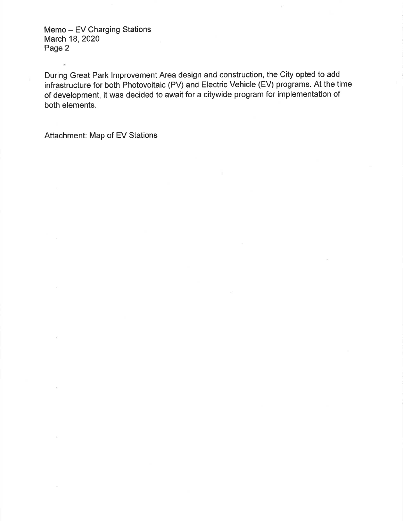Memo - EV Charging Stations March 18, 2020 Page 2

 $\alpha$ 

During Great Park Improvement Area design and construction, the City opted to add infrastructure for both Photovoltaic (PV) and Electric Vehicle (EV) programs. At the time of development, it was decided to await for a citywide program for implementation of both elements.

Attachment: Map of EV Stations